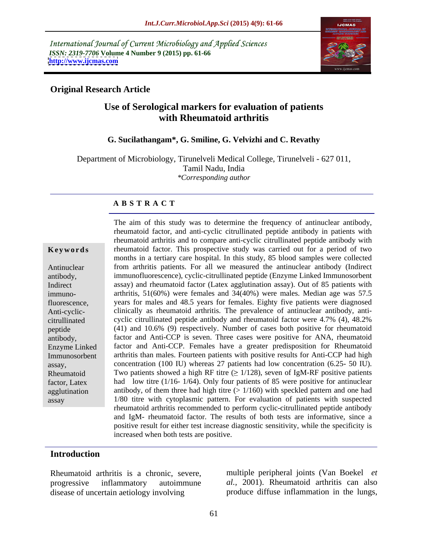International Journal of Current Microbiology and Applied Sciences *ISSN: 2319-7706* **Volume 4 Number 9 (2015) pp. 61-66 <http://www.ijcmas.com>**



## **Original Research Article**

# **Use of Serological markers for evaluation of patients with Rheumatoid arthritis**

#### **G. Sucilathangam\*, G. Smiline, G. Velvizhi and C. Revathy**

Department of Microbiology, Tirunelveli Medical College, Tirunelveli - 627 011, Tamil Nadu, India *\*Corresponding author*

#### **A B S T R A C T**

immunoassay

The aim of this study was to determine the frequency of antinuclear antibody, rheumatoid factor, and anti-cyclic citrullinated peptide antibody in patients with rheumatoid arthritis and to compare anti-cyclic citrullinated peptide antibody with **Keywords** rheumatoid factor. This prospective study was carried out for a period of two months in a tertiary care hospital. In this study, 85 blood samples were collected from arthritis patients. For all we measured the antinuclear antibody (Indirect Antinuclear immunofluorescence), cyclic-citrullinated peptide (Enzyme Linked Immunosorbent antibody, assay) and rheumatoid factor (Latex agglutination assay). Out of 85 patients with Indirect arthritis,  $51(60%)$  were females and  $34(40%)$  were males. Median age was  $57.5$ years for males and 48.5 years for females. Eighty five patients were diagnosed fluorescence, Anti-cyclic-<br>clinically as rheumatoid arthritis. The prevalence of antinuclear antibody, anticyclic citrullinated peptide antibody and rheumatoid factor were 4.7% (4), 48.2% citrullinated (41) and 10.6% (9) respectively. Number of cases both positive for rheumatoid peptide factor and Anti-CCP is seven. Three cases were positive for ANA, rheumatoid antibody, Enzyme Linked factor and Anti-CCP. Females have a greater predisposition for Rheumatoid arthritis than males. Fourteen patients with positive results for Anti-CCP had high Immunosorbent assay, concentration (100 IU) whereas 27 patients had low concentration (6.25- 50 IU). Rheumatoid Two patients showed a high RF titre  $(\geq 1/128)$ , seven of IgM-RF positive patients factor, Latex had low titre (1/16- 1/64). Only four patients of 85 were positive for antinuclear agglutination antibody, of them three had high titre  $(>1/160)$  with speckled pattern and one had 1/80 titre with cytoplasmic pattern. For evaluation of patients with suspected rheumatoid arthritis recommended to perform cyclic-citrullinated peptide antibody and IgM- rheumatoid factor. The results of both tests are informative, since a positive result for either test increase diagnostic sensitivity, while the specificity is increased when both tests are positive.

## **Introduction**

Rheumatoid arthritis is a chronic, severe, disease of uncertain aetiology involving produce diffuse inflammation in the lungs,

progressive inflammatory autoimmune *al.,* 2001). Rheumatoid arthritis can also multiple peripheral joints (Van Boekel *et*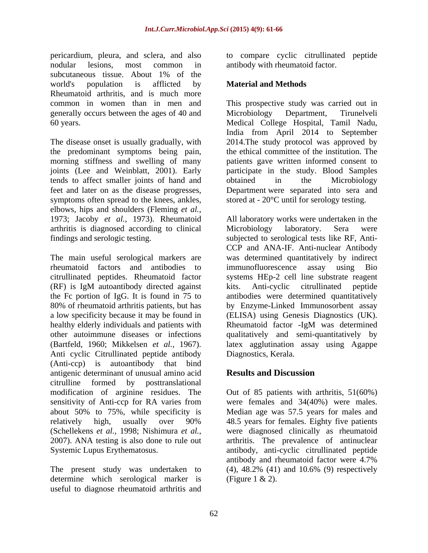pericardium, pleura, and sclera, and also to compare cyclic citrullinated peptide nodular lesions, most common in antibody with rheumatoid factor. subcutaneous tissue. About 1% of the world's population is afflicted by **Material and Methods** Rheumatoid arthritis, and is much more generally occurs between the ages of 40 and Microbiology Department, Tirunelyeli

the predominant symptoms being pain, tends to affect smaller joints of hand and obtained in the Microbiology symptoms often spread to the knees, ankles, elbows, hips and shoulders (Fleming *et al.,* arthritis is diagnosed according to clinical

The main useful serological markers are was determined quantitatively by indirect rheumatoid factors and antibodies to citrullinated peptides. Rheumatoid factor systems HEp-2 cell line substrate reagent (RF) is IgM autoantibody directed against the Fc portion of IgG. It is found in 75 to 80% of rheumatoid arthritis patients, but has by Enzyme-Linked Immunosorbent assay a low specificity because it may be found in (ELISA) using Genesis Diagnostics (UK). healthy elderly individuals and patients with Rheumatoid factor -IgM was determined other autoimmune diseases or infections qualitatively and semi-quantitatively by (Bartfeld, 1960; Mikkelsen *et al.,* 1967). latex agglutination assay using Agappe Anti cyclic Citrullinated peptide antibody (Anti-ccp) is autoantibody that bind antigenic determinant of unusual amino acid **Results and Discussion** citrulline formed by posttranslational modification of arginine residues. The sensitivity of Anti-ccp for RA varies from about 50% to 75%, while specificity is Median age was 57.5 years for males and relatively high, usually over 90% 48.5 years for females. Eighty five patients (Schellekens *et al.,* 1998; Nishimura *et al.,* were diagnosed clinically as rheumatoid 2007). ANA testing is also done to rule out arthritis. The prevalence of antinuclear Systemic Lupus Erythematosus. antibody, anti-cyclic citrullinated peptide

determine which serological marker is (Figure  $1 \& 2$ ). useful to diagnose rheumatoid arthritis and

# **Material and Methods**

common in women than in men and This prospective study was carried out in 60 years. Medical College Hospital, Tamil Nadu, The disease onset is usually gradually, with 2014.The study protocol was approved by morning stiffness and swelling of many patients gave written informed consent to joints (Lee and Weinblatt, 2001). Early participate in the study. Blood Samples feet and later on as the disease progresses, Department were separated into sera and Microbiology Department, Tirunelveli India from April 2014 to September the ethical committee of the institution. The obtained in the Microbiology stored at - 20°C until for serology testing.

1973; Jacoby *et al.,* 1973). Rheumatoid All laboratory works were undertaken in the findings and serologic testing. subjected to serological tests like RF, Anti- Microbiology laboratory. Sera were CCP and ANA-IF. Anti-nuclear Antibody immunofluorescence assay using Bio kits. Anti-cyclic citrullinated antibodies were determined quantitatively Rheumatoid factor -IgM was determined Diagnostics, Kerala.

# **Results and Discussion**

The present study was undertaken to  $(4)$ , 48.2% (41) and 10.6% (9) respectively Out of 85 patients with arthritis, 51(60%) were females and 34(40%) were males. 48.5 years for females. Eighty five patients antibody and rheumatoid factor were 4.7% (4), 48.2% (41) and 10.6% (9) respectively (Figure 1 & 2).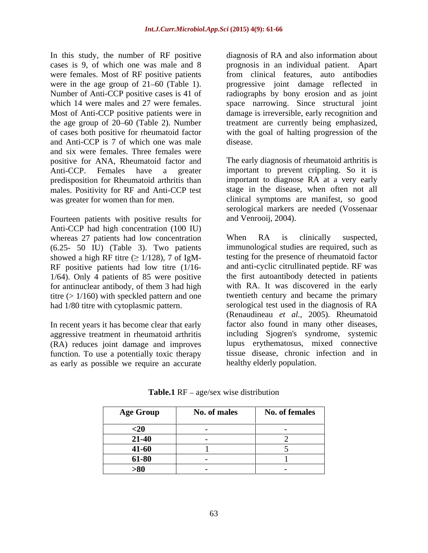were females. Most of RF positive patients and Anti-CCP is 7 of which one was male and six were females. Three females were positive for ANA, Rheumatoid factor and predisposition for Rheumatoid arthritis than males. Positivity for RF and Anti-CCP test

Fourteen patients with positive results for Anti-CCP had high concentration (100 IU) whereas 27 patients had low concentration When RA is clinically suspected, (6.25- 50 IU) (Table 3). Two patients showed a high RF titre  $(\geq 1/128)$ , 7 of IgM-RF positive patients had low titre (1/16- 1/64). Only 4 patients of 85 were positive for antinuclear antibody, of them 3 had high titre (> 1/160) with speckled pattern and one had 1/80 titre with cytoplasmic pattern.

In recent years it has become clear that early aggressive treatment in rheumatoid arthritis (RA) reduces joint damage and improves function. To use a potentially toxic therapy as early as possible we require an accurate

In this study, the number of RF positive diagnosis of RA and also information about cases is 9, of which one was male and 8 prognosis in an individual patient. Apart were in the age group of 21–60 (Table 1). <br>
Number of Anti-CCP positive cases is 41 of antiographs by bony erosion and as joint which 14 were males and 27 were females. space narrowing. Since structural joint Most of Anti-CCP positive patients were in damage is irreversible, early recognition and the age group of 20–60 (Table 2). Number treatment are currently being emphasized, of cases both positive for rheumatoid factor with the goal of halting progression of the from clinical features, auto antibodies progressive joint damage reflected in radiographs by bony erosion and as joint disease.

Anti-CCP. Females have a greater important to prevent crippling. So it is was greater for women than for men. clinical symptoms are manifest, so good The early diagnosis of rheumatoid arthritis is important to diagnose RA at a very early stage in the disease, when often not all serological markers are needed (Vossenaar and Venrooij, 2004).

> When RA is clinically suspected, immunological studies are required, such as testing for the presence of rheumatoid factor and anti-cyclic citrullinated peptide. RF was the first autoantibody detected in patients with RA. It was discovered in the early twentieth century and became the primary serological test used in the diagnosis of RA (Renaudineau *et al.,* 2005). Rheumatoid factor also found in many other diseases, including Sjogren's syndrome, systemic lupus erythematosus, mixed connective tissue disease, chronic infection and in healthy elderly population.

| <b>Age Group</b> | No. of males | <b>No. of females</b> |
|------------------|--------------|-----------------------|
| ∽∠∪              |              |                       |
| 21-40            |              |                       |
| $41 - 60$        |              |                       |
| 61-80            |              |                       |
| >80              |              |                       |

**Table.1**  $RF - age/sec$  wise distribution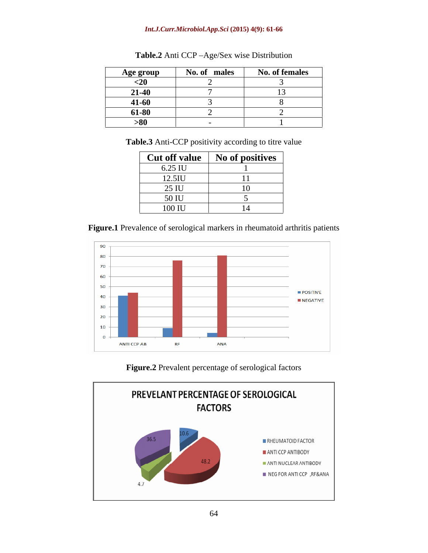#### *Int.J.Curr.Microbiol.App.Sci* **(2015) 4(9): 61-66**

| Age group     | No. of males | No. of females |
|---------------|--------------|----------------|
| $20$          |              |                |
| $21 - 40$     |              |                |
| 41-60         |              |                |
| 61-80         |              |                |
| -52<br>$>$ ov |              |                |

Table.2 Anti CCP-Age/Sex wise Distribution

**Table.3** Anti-CCP positivity according to titre value

| <b>Cut off value</b> | No of positives |
|----------------------|-----------------|
| 6.25 IU              |                 |
| 12.5IU               |                 |
| 25 IU                | $\sim$          |
| 50 IU                |                 |
| 100 IU               |                 |

**Figure.1** Prevalence of serological markers in rheumatoid arthritis patients



#### **Figure.2** Prevalent percentage of serological factors

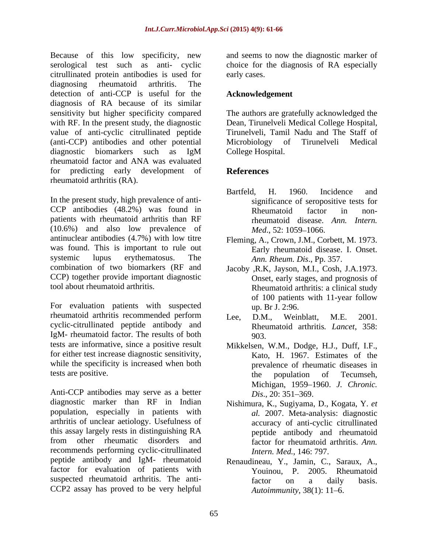Because of this low specificity, new and seems to now the diagnostic marker of serological test such as anti- cyclic choice for the diagnosis of RA especially citrullinated protein antibodies is used for diagnosing rheumatoid arthritis. The detection of anti-CCP is useful for the diagnosis of RA because of its similar sensitivity but higher specificity compared The authors are gratefully acknowledged the with RF. In the present study, the diagnostic Dean, Tirunelveli Medical College Hospital, value of anti-cyclic citrullinated peptide (anti-CCP) antibodies and other potential diagnostic biomarkers such as IgM rheumatoid factor and ANA was evaluated for predicting early development of rheumatoid arthritis (RA).

In the present study, high prevalence of anti- CCP antibodies (48.2%) was found in patients with rheumatoid arthritis than RF (10.6%) and also low prevalence of antinuclear antibodies (4.7%) with low titre was found. This is important to rule out systemic lupus erythematosus. The *Ann. Rheum. Dis*., Pp. 357. combination of two biomarkers (RF and Jacoby ,R.K, Jayson, M.I., Cosh, J.A.1973. CCP) together provide important diagnostic<br>tool about rheumatoid arthritis.

For evaluation patients with suspected rheumatoid arthritis recommended perform Lee, D.M., Weinblatt, M.E. 2001. cyclic-citrullinated peptide antibody and IgM- rheumatoid factor. The results of both tests are informative, since a positive result Mikkelsen, W.M., Dodge, H.J., Duff, I.F., for either test increase diagnostic sensitivity, while the specificity is increased when both

Anti-CCP antibodies may serve as a better *Dis.*, 20: 351–369. diagnostic marker than RF in Indian Nishimura, K., Sugiyama, D., Kogata, Y. *et*  population, especially in patients with arthritis of unclear aetiology. Usefulness of this assay largely rests in distinguishing RA peptide antibody and rheumatoid from other rheumatic disorders and factor for rheumatoid arthritis. *Ann.*  recommends performing cyclic-citrullinated peptide antibody and IgM- rheumatoid Renaudineau, Y., Jamin, C., Saraux, A., factor for evaluation of patients with Youinou, P. suspected rheumatoid arthritis. The anti-<br>factor on a daily basis. CCP2 assay has proved to be very helpful

early cases.

# **Acknowledgement**

Tirunelveli, Tamil Nadu and The Staff of Microbiology of Tirunelveli Medical College Hospital.

# **References**

- Bartfeld, H. 1960. Incidence and significance of seropositive tests for Rheumatoid factor in nonrheumatoid disease. *Ann. Intern. Med.*, 52: 1059–1066.
- Fleming, A., Crown, J.M., Corbett, M. 1973. Early rheumatoid disease. I. Onset.
- tool about rheumatoid arthritis. Rheumatoid arthritis: a clinical study Onset, early stages, and prognosis of of 100 patients with 11-year follow up. Br J. 2:96.
	- Lee, D.M., Weinblatt, M.E. 2001. Rheumatoid arthritis*. Lancet*, 358: 903.
- tests are positive. the population of Tecumseh, Kato, H. 1967. Estimates of the prevalence of rheumatic diseases in Michigan, 1959 1960. *J. Chronic. Dis.*, 20: 351–369.
	- *al.* 2007. Meta-analysis: diagnostic accuracy of anti-cyclic citrullinated *Intern. Med.*, 146: 797.
	- 2005. Rheumatoid factor on a daily basis. *Autoimmunity*, 38(1): 11–6.